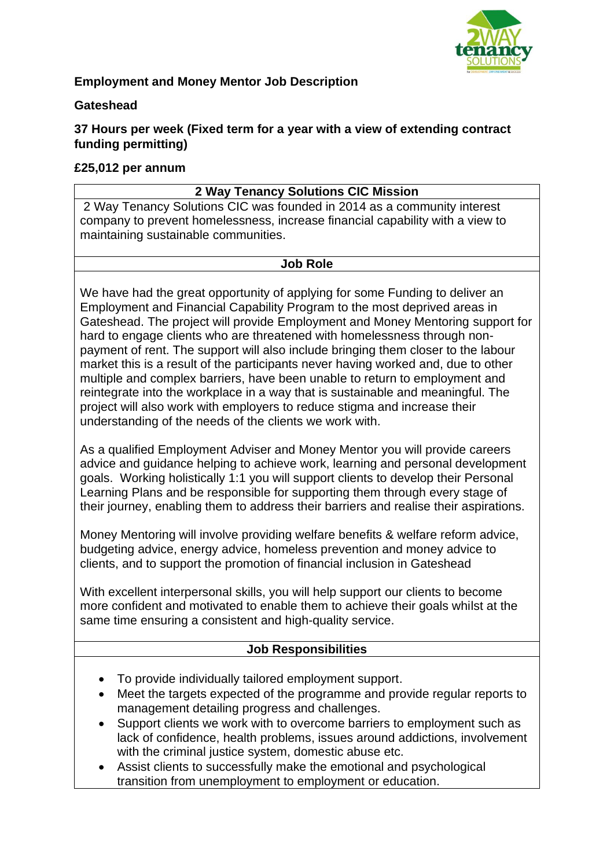

# **Employment and Money Mentor Job Description**

#### **Gateshead**

**37 Hours per week (Fixed term for a year with a view of extending contract funding permitting)**

## **£25,012 per annum**

## **2 Way Tenancy Solutions CIC Mission**

2 Way Tenancy Solutions CIC was founded in 2014 as a community interest company to prevent homelessness, increase financial capability with a view to maintaining sustainable communities.

#### **Job Role**

We have had the great opportunity of applying for some Funding to deliver an Employment and Financial Capability Program to the most deprived areas in Gateshead. The project will provide Employment and Money Mentoring support for hard to engage clients who are threatened with homelessness through nonpayment of rent. The support will also include bringing them closer to the labour market this is a result of the participants never having worked and, due to other multiple and complex barriers, have been unable to return to employment and reintegrate into the workplace in a way that is sustainable and meaningful. The project will also work with employers to reduce stigma and increase their understanding of the needs of the clients we work with.

As a qualified Employment Adviser and Money Mentor you will provide careers advice and guidance helping to achieve work, learning and personal development goals. Working holistically 1:1 you will support clients to develop their Personal Learning Plans and be responsible for supporting them through every stage of their journey, enabling them to address their barriers and realise their aspirations.

Money Mentoring will involve providing welfare benefits & welfare reform advice, budgeting advice, energy advice, homeless prevention and money advice to clients, and to support the promotion of financial inclusion in Gateshead

With excellent interpersonal skills, you will help support our clients to become more confident and motivated to enable them to achieve their goals whilst at the same time ensuring a consistent and high-quality service.

#### **Job Responsibilities**

- To provide individually tailored employment support.
- Meet the targets expected of the programme and provide regular reports to management detailing progress and challenges.
- Support clients we work with to overcome barriers to employment such as lack of confidence, health problems, issues around addictions, involvement with the criminal justice system, domestic abuse etc.
- Assist clients to successfully make the emotional and psychological transition from unemployment to employment or education.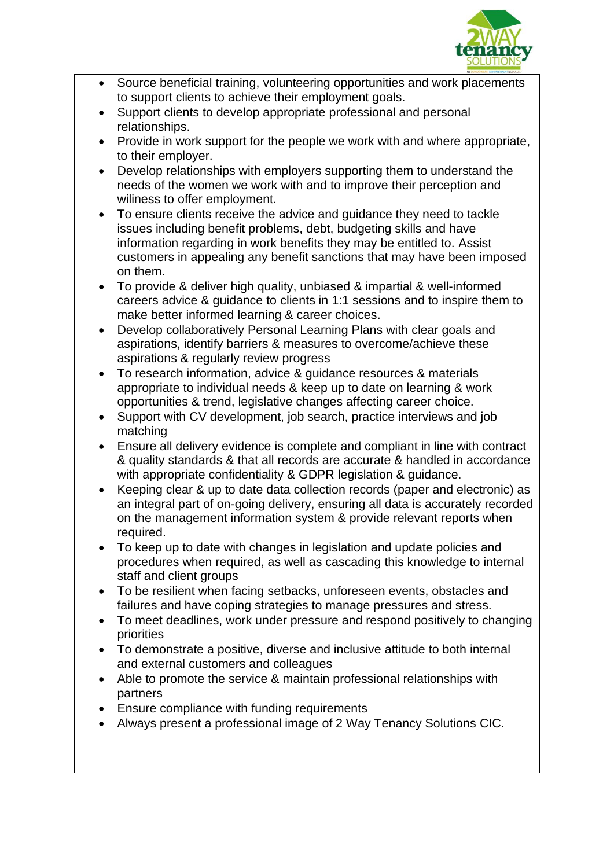

- Source beneficial training, volunteering opportunities and work placements to support clients to achieve their employment goals.
- Support clients to develop appropriate professional and personal relationships.
- Provide in work support for the people we work with and where appropriate, to their employer.
- Develop relationships with employers supporting them to understand the needs of the women we work with and to improve their perception and wiliness to offer employment.
- To ensure clients receive the advice and guidance they need to tackle issues including benefit problems, debt, budgeting skills and have information regarding in work benefits they may be entitled to. Assist customers in appealing any benefit sanctions that may have been imposed on them.
- To provide & deliver high quality, unbiased & impartial & well-informed careers advice & guidance to clients in 1:1 sessions and to inspire them to make better informed learning & career choices.
- Develop collaboratively Personal Learning Plans with clear goals and aspirations, identify barriers & measures to overcome/achieve these aspirations & regularly review progress
- To research information, advice & guidance resources & materials appropriate to individual needs & keep up to date on learning & work opportunities & trend, legislative changes affecting career choice.
- Support with CV development, job search, practice interviews and job matching
- Ensure all delivery evidence is complete and compliant in line with contract & quality standards & that all records are accurate & handled in accordance with appropriate confidentiality & GDPR legislation & guidance.
- Keeping clear & up to date data collection records (paper and electronic) as an integral part of on-going delivery, ensuring all data is accurately recorded on the management information system & provide relevant reports when required.
- To keep up to date with changes in legislation and update policies and procedures when required, as well as cascading this knowledge to internal staff and client groups
- To be resilient when facing setbacks, unforeseen events, obstacles and failures and have coping strategies to manage pressures and stress.
- To meet deadlines, work under pressure and respond positively to changing priorities
- To demonstrate a positive, diverse and inclusive attitude to both internal and external customers and colleagues
- Able to promote the service & maintain professional relationships with partners
- Ensure compliance with funding requirements
- Always present a professional image of 2 Way Tenancy Solutions CIC.